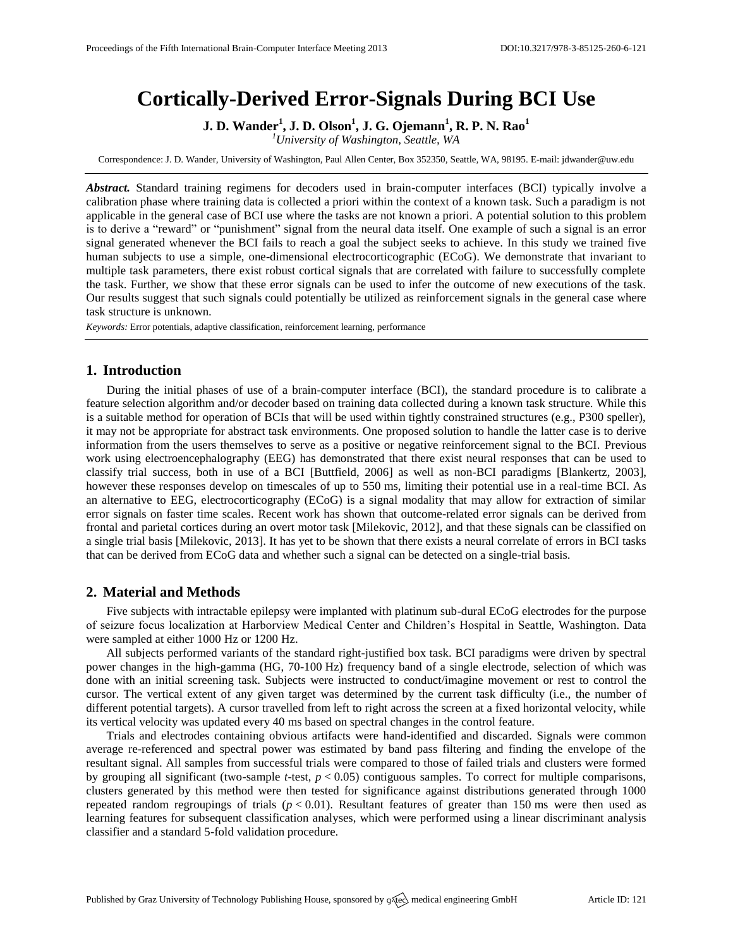# **Cortically-Derived Error-Signals During BCI Use**

**J. D. Wander<sup>1</sup> , J. D. Olson<sup>1</sup> , J. G. Ojemann<sup>1</sup> , R. P. N. Rao<sup>1</sup>**

*<sup>1</sup>University of Washington, Seattle, WA*

Correspondence: J. D. Wander, University of Washington, Paul Allen Center, Box 352350, Seattle, WA, 98195. E-mail: [jdwander@uw.edu](mailto:corresponding.author@address.com)

*Abstract.* Standard training regimens for decoders used in brain-computer interfaces (BCI) typically involve a calibration phase where training data is collected a priori within the context of a known task. Such a paradigm is not applicable in the general case of BCI use where the tasks are not known a priori. A potential solution to this problem is to derive a "reward" or "punishment" signal from the neural data itself. One example of such a signal is an error signal generated whenever the BCI fails to reach a goal the subject seeks to achieve. In this study we trained five human subjects to use a simple, one-dimensional electrocorticographic (ECoG). We demonstrate that invariant to multiple task parameters, there exist robust cortical signals that are correlated with failure to successfully complete the task. Further, we show that these error signals can be used to infer the outcome of new executions of the task. Our results suggest that such signals could potentially be utilized as reinforcement signals in the general case where task structure is unknown.

*Keywords:* Error potentials, adaptive classification, reinforcement learning, performance

#### **1. Introduction**

During the initial phases of use of a brain-computer interface (BCI), the standard procedure is to calibrate a feature selection algorithm and/or decoder based on training data collected during a known task structure. While this is a suitable method for operation of BCIs that will be used within tightly constrained structures (e.g., P300 speller), it may not be appropriate for abstract task environments. One proposed solution to handle the latter case is to derive information from the users themselves to serve as a positive or negative reinforcement signal to the BCI. Previous work using electroencephalography (EEG) has demonstrated that there exist neural responses that can be used to classify trial success, both in use of a BCI [Buttfield, 2006] as well as non-BCI paradigms [Blankertz, 2003], however these responses develop on timescales of up to 550 ms, limiting their potential use in a real-time BCI. As an alternative to EEG, electrocorticography (ECoG) is a signal modality that may allow for extraction of similar error signals on faster time scales. Recent work has shown that outcome-related error signals can be derived from frontal and parietal cortices during an overt motor task [Milekovic, 2012], and that these signals can be classified on a single trial basis [Milekovic, 2013]. It has yet to be shown that there exists a neural correlate of errors in BCI tasks that can be derived from ECoG data and whether such a signal can be detected on a single-trial basis.

## **2. Material and Methods**

Five subjects with intractable epilepsy were implanted with platinum sub-dural ECoG electrodes for the purpose of seizure focus localization at Harborview Medical Center and Children's Hospital in Seattle, Washington. Data were sampled at either 1000 Hz or 1200 Hz.

All subjects performed variants of the standard right-justified box task. BCI paradigms were driven by spectral power changes in the high-gamma (HG, 70-100 Hz) frequency band of a single electrode, selection of which was done with an initial screening task. Subjects were instructed to conduct/imagine movement or rest to control the cursor. The vertical extent of any given target was determined by the current task difficulty (i.e., the number of different potential targets). A cursor travelled from left to right across the screen at a fixed horizontal velocity, while its vertical velocity was updated every 40 ms based on spectral changes in the control feature.

Trials and electrodes containing obvious artifacts were hand-identified and discarded. Signals were common average re-referenced and spectral power was estimated by band pass filtering and finding the envelope of the resultant signal. All samples from successful trials were compared to those of failed trials and clusters were formed by grouping all significant (two-sample *t*-test, *p* < 0.05) contiguous samples. To correct for multiple comparisons, clusters generated by this method were then tested for significance against distributions generated through 1000 repeated random regroupings of trials  $(p < 0.01)$ . Resultant features of greater than 150 ms were then used as learning features for subsequent classification analyses, which were performed using a linear discriminant analysis classifier and a standard 5-fold validation procedure.